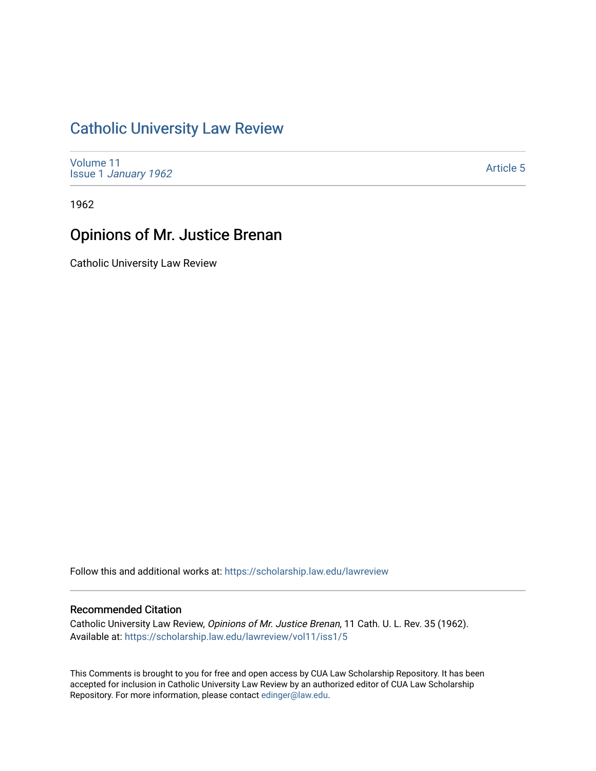# [Catholic University Law Review](https://scholarship.law.edu/lawreview)

[Volume 11](https://scholarship.law.edu/lawreview/vol11) Issue 1 [January 1962](https://scholarship.law.edu/lawreview/vol11/iss1)

[Article 5](https://scholarship.law.edu/lawreview/vol11/iss1/5) 

1962

# Opinions of Mr. Justice Brenan

Catholic University Law Review

Follow this and additional works at: [https://scholarship.law.edu/lawreview](https://scholarship.law.edu/lawreview?utm_source=scholarship.law.edu%2Flawreview%2Fvol11%2Fiss1%2F5&utm_medium=PDF&utm_campaign=PDFCoverPages)

# Recommended Citation

Catholic University Law Review, Opinions of Mr. Justice Brenan, 11 Cath. U. L. Rev. 35 (1962). Available at: [https://scholarship.law.edu/lawreview/vol11/iss1/5](https://scholarship.law.edu/lawreview/vol11/iss1/5?utm_source=scholarship.law.edu%2Flawreview%2Fvol11%2Fiss1%2F5&utm_medium=PDF&utm_campaign=PDFCoverPages)

This Comments is brought to you for free and open access by CUA Law Scholarship Repository. It has been accepted for inclusion in Catholic University Law Review by an authorized editor of CUA Law Scholarship Repository. For more information, please contact [edinger@law.edu.](mailto:edinger@law.edu)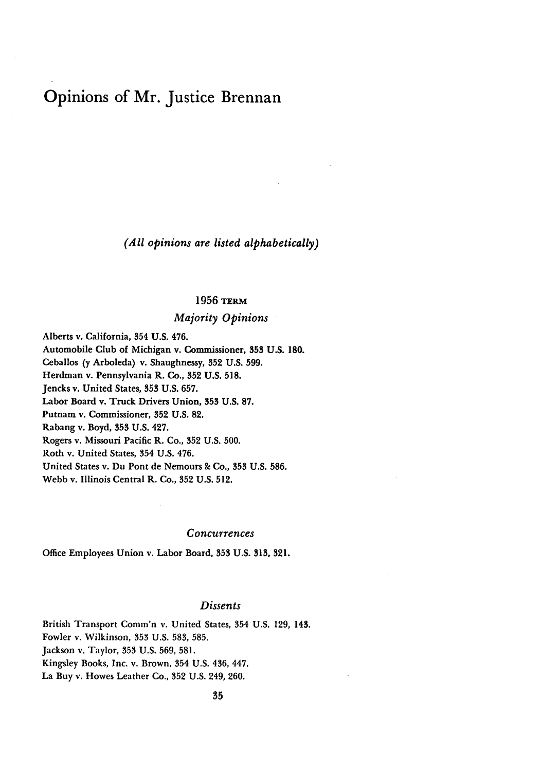# Opinions of Mr. Justice Brennan

*(All opinions are listed alphabetically)*

# 1956 **TERm**

# *Majority Opinions*

Alberts v. California, 354 U.S. 476. Automobile Club of Michigan v. Commissioner, **353 U.S. 180.** Ceballos **(y** Arboleda) v. Shaughnessy, **352 U.S. 599.** Herdman v. Pennsylvania R. Co., **352 U.S. 518.** Jencks v. United States, **353 U.S. 657.** Labor Board v. Truck Drivers Union, **353 U.S. 87.** Putnam v. Commissioner, **352 U.S. 82.** Rabang v. Boyd, **353 U.S.** 427. Rogers v. Missouri Pacific R. Co., **352 U.S. 500.** Roth v. United States, 354 **U.S.** 476. United States v. Du Pont de Nemours **&** Co., **353 U.S. 586.** Webb v. Illinois Central R. Co., **352 U.S. 512.**

#### *Concurrences*

Office Employees Union v. Labor Board, **353 U.S. 313, 321.**

## *Dissents*

British Transport Comm'n v. United States, 354 U.S. 129, 143. Fowler v. Wilkinson, 353 U.S. 583, 585. Jackson v. Taylor, 353 U.S. 569, 581. Kingsley Books, Inc. v. Brown, 354 U.S. 436, 447. La Buy v. Howes Leather Co., 352 U.S. 249, 260.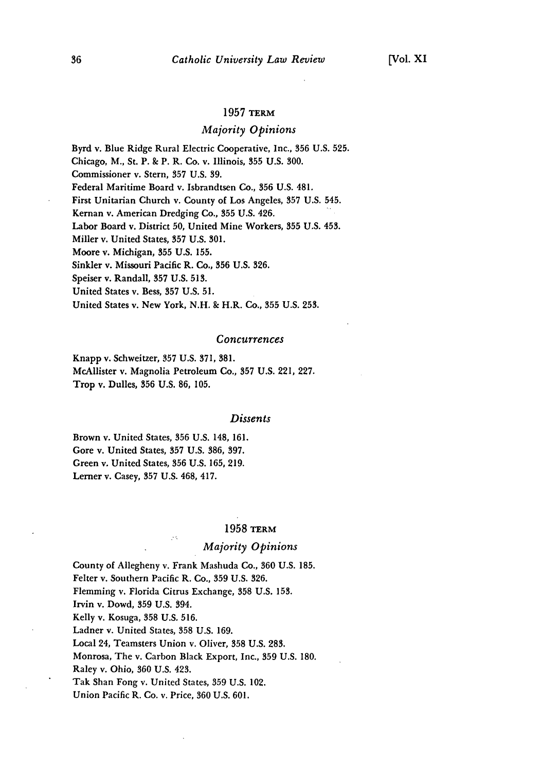## 1957 TERM

# *Majority Opinions*

Byrd v. Blue Ridge Rural Electric Cooperative, Inc., **356** U.S. **525.** Chicago, M., St. P. & P. R. Co. v. Illinois, **355** U.S. 300. Commissioner v. Stern, **357** U.S. **39.** Federal Maritime Board v. Isbrandtsen Co., **356** U.S. 481. First Unitarian Church v. County of Los Angeles, **357** U.S. 545. Kernan v. American Dredging Co., **355** U.S. 426. Labor Board v. District **50,** United Mine Workers, **355** U.S. 453. Miller v. United States, **357** U.S. 301. Moore v. Michigan, **355** U.S. **155.** Sinkler v. Missouri Pacific R. Co., **356** U.S. 326. Speiser v. Randall, **357** U.S. **513.** United States v. Bess, **357** U.S. **51.** United States v. New York, N.H. & H.R. Co., **355** U.S. **253.**

#### *Concurrences*

Knapp v. Schweitzer, 357 U.S. 371, 381. McAllister v. Magnolia Petroleum Co., **357** U.S. 221, 227. Trop v. Dulles, **356** U.S. 86, 105.

#### *Dissents*

Brown v. United States, **356** U.S. 148, 161. Gore v. United States, 357 U.S. 386, 397. Green v. United States, **356** U.S. **165,** 219. Lerner v. Casey, **357 U.S.** 468, 417.

#### **1958 TERM**

# *Majority Opinions*

County of Allegheny v. Frank Mashuda Co., **360 U.S. 185.** Felter v. Southern Pacific R. Co., **359 U.S. 326.** Flemming v. Florida Citrus Exchange, **358 U.S. 153.** Irvin v. Dowd, **359 U.S.** 394. Kelly v. Kosuga, **358 U.S. 516.** Ladner v. United States, **358 U.S. 169.** Local 24, Teamsters Union v. Oliver, **358 U.S. 283.** Monrosa, The v. Carbon Black Export, Inc., **359 U.S. 180.** Raley v. Ohio, **360 U.S.** 423. Tak Shan Fong v. United States, **359 U.S.** 102. Union Pacific R. Co. v. Price, **360 U.S. 601.**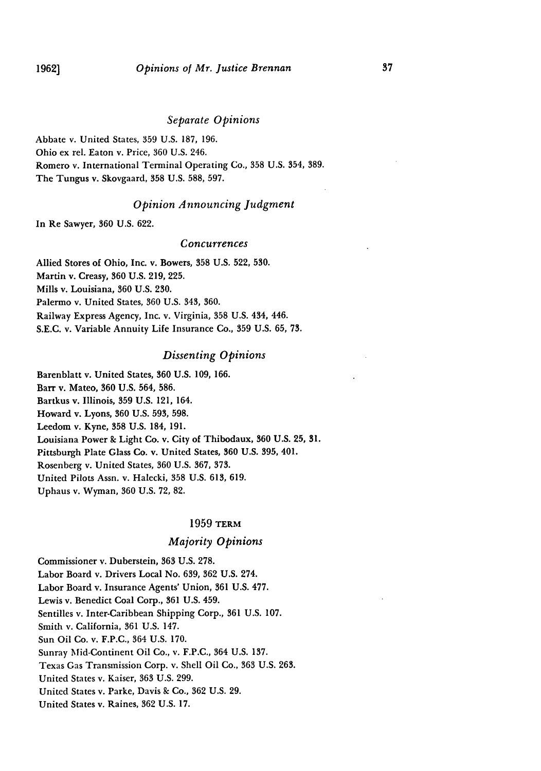## *Separate Opinions*

Abbate v. United States, **359** U.S. 187, 196. Ohio ex rel. Eaton v. Price, 360 U.S. 246. Romero v. International Terminal Operating Co., 358 U.S. 354, 389. The Tungus v. Skovgaard, **358 U.S. 588, 597.**

### *Opinion Announcing Judgment*

In Re Sawyer, 360 U.S. 622.

#### *Concurrences*

Allied Stores of Ohio, Inc. v. Bowers, 358 U.S. 522, 530. Martin v. Creasy, 360 U.S. 219, 225. Mills v. Louisiana, 360 U.S. 230. Palermo v. United States, 360 U.S. 343, 360. Railway Express Agency, Inc. v. Virginia, 358 U.S. 434, 446. S.E.C. v. Variable Annuity Life Insurance Co., 359 U.S. 65, 73.

### *Dissenting Opinions*

Barenblatt v. United States, 360 U.S. 109, 166. Barr v. Mateo, 360 U.S. 564, 586. Bartkus v. Illinois, 359 U.S. 121, 164. Howard v. Lyons, 360 U.S. 593, 598. Leedom v. Kyne, 358 U.S. 184, 191. Louisiana Power **&** Light Co. v. City of Thibodaux, **360** U.S. 25, 31. Pittsburgh Plate Glass Co. v. United States, **360** U.S. 395, 401. Rosenberg v. United States, 360 U.S. 367, 373. United Pilots Assn. v. Halecki, 358 U.S. 613, 619. Uphaus v. Wyman, 360 U.S. 72, 82.

# 1959 TERM

## *Majority Opinions*

Commissioner v. Duberstein, 363 U.S. 278. Labor Board v. Drivers Local No. 639, 362 U.S. 274. Labor Board v. Insurance Agents' Union, 361 U.S. 477. Lewis v. Benedict Coal Corp., 361 U.S. 459. Sentilles v. Inter-Caribbean Shipping Corp., 361 U.S. 107. Smith v. California, 361 U.S. 147. Sun Oil Co. v. F.P.C., 364 U.S. 170. Sunray Mid-Continent Oil Co., v. F.P.C., 364 U.S. 137. Texas Gas Transmission Corp. v. Shell Oil Co., 363 U.S. 263. United States v. Kaiser, 363 U.S. 299. United States v. Parke, Davis & Co., 362 U.S. 29. United States v. Raines, 362 U.S. 17.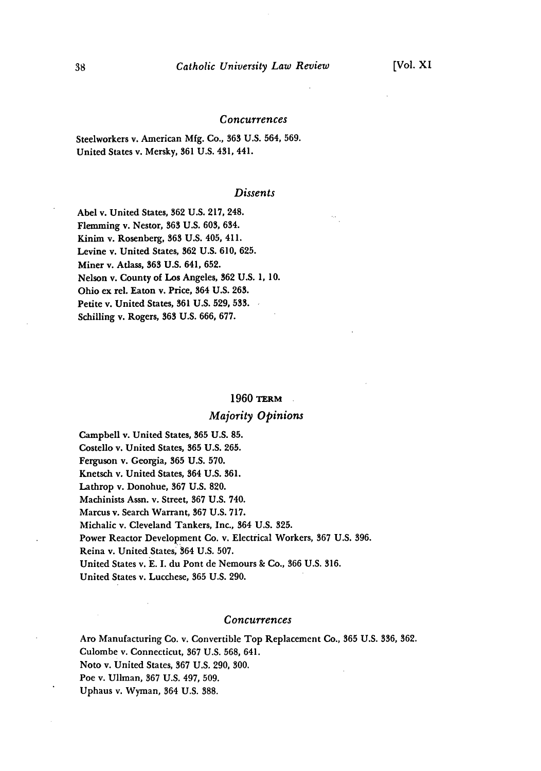### *Concurrences*

Steelworkers v. American **Mfg.** Co., 363 **U.S.** 564, **569.** United States v. Mersky, 361 U.S. 431, 441.

### *Dissents*

Abel v. United States, **362** U.S. 217, 248. Flemming v. Nestor, **363** U.S. 603, 634. Kinim v. Rosenberg, **363** U.S. 405, 411. Levine v. United States, **362** U.S. 610, 625. Miner v. Adass, **363** U.S. 641, 652. Nelson v. County of Los Angeles, 362 **U.S.** 1, **10.** Ohio ex rel. Eaton v. Price, 364 U.S. 263. Petite v. United States, **361** U.S. 529, **533.** Schilling v. Rogers, **363 U.S.** 666, 677.

#### 1960 **TERM**

# *Majority Opinions*

Campbell v. United States, **365** U.S. **85.** Costello v. United States, **365** U.S. 265. Ferguson v. Georgia, **365** U.S. 570. Knetsch v. United States, 364 U.S. 361. Lathrop v. Donohue, 367 **U.S.** 820. Machinists Assn. v. Street, **367** U.S. 740. Marcus v. Search Warrant, **367** U.S. 717. Michalic v. Cleveland Tankers, Inc., 364 U.S. **325.** Power Reactor Development Co. v. Electrical Workers, 367 U.S. 396. Reina v. United States, 364 U.S. 507. United States v. **E.** I. du Pont de Nemours **&** Co., **366** U.S. 316. United States v. Lucchese, **365** U.S. 290.

### *Concurrences*

Aro Manufacturing Co. v. Convertible Top Replacement Co., **365** U.S. 336, 362. Culombe v. Connecticut, 367 U.S. 568, 641. Noto v. United States, **367** U.S. 290, 300. Poe v. Ullman, 367 U.S. 497, 509. Uphaus v. Wyman, 364 U.S. 388.